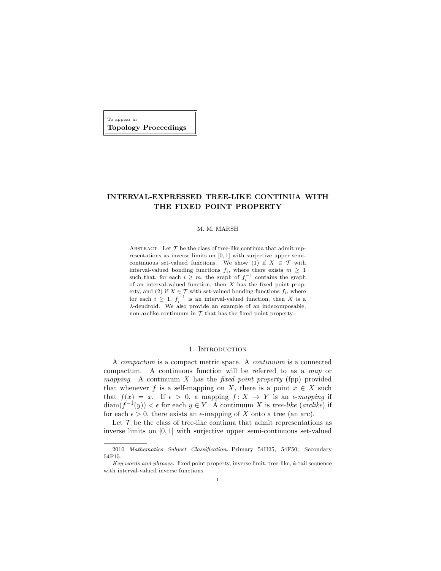To appear in Topology Proceedings

# INTERVAL-EXPRESSED TREE-LIKE CONTINUA WITH THE FIXED POINT PROPERTY

## M. M. MARSH

ABSTRACT. Let  $\mathcal T$  be the class of tree-like continua that admit representations as inverse limits on [0, 1] with surjective upper semicontinuous set-valued functions. We show (1) if  $X \in \mathcal{T}$  with interval-valued bonding functions  $f_i$ , where there exists  $m \geq 1$ such that, for each  $i \geq m$ , the graph of  $f_i^{-1}$  contains the graph of an interval-valued function, then  $X$  has the fixed point property, and (2) if  $X \in \mathcal{T}$  with set-valued bonding functions  $f_i$ , where for each  $i \geq 1$ ,  $f_i^{-1}$  is an interval-valued function, then X is a λ-dendroid. We also provide an example of an indecomposable, non-arclike continuum in  $T$  that has the fixed point property.

# 1. INTRODUCTION

A compactum is a compact metric space. A continuum is a connected compactum. A continuous function will be referred to as a map or mapping. A continuum  $X$  has the *fixed point property* (fpp) provided that whenever f is a self-mapping on X, there is a point  $x \in X$  such that  $f(x) = x$ . If  $\epsilon > 0$ , a mapping  $f: X \to Y$  is an  $\epsilon$ -mapping if  $\text{diam}(f^{-1}(y)) < \epsilon$  for each  $y \in Y$ . A continuum X is tree-like (arclike) if for each  $\epsilon > 0$ , there exists an  $\epsilon$ -mapping of X onto a tree (an arc).

Let  $\mathcal T$  be the class of tree-like continua that admit representations as inverse limits on [0, 1] with surjective upper semi-continuous set-valued

<sup>2010</sup> Mathematics Subject Classification. Primary 54H25, 54F50; Secondary 54F15.

Key words and phrases. fixed point property, inverse limit, tree-like, k-tail sequence with interval-valued inverse functions.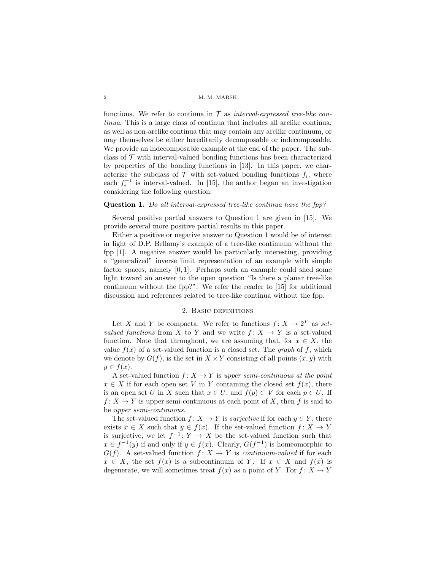functions. We refer to continua in  $\mathcal T$  as *interval-expressed tree-like con*tinua. This is a large class of continua that includes all arclike continua, as well as non-arclike continua that may contain any arclike continuum, or may themselves be either hereditarily decomposable or indecomposable. We provide an indecomposable example at the end of the paper. The subclass of  $\mathcal T$  with interval-valued bonding functions has been characterized by properties of the bonding functions in [13]. In this paper, we characterize the subclass of  $\mathcal T$  with set-valued bonding functions  $f_i$ , where each  $f_i^{-1}$  is interval-valued. In [15], the author began an investigation considering the following question.

### Question 1. Do all interval-expressed tree-like continua have the fpp?

Several positive partial answers to Question 1 are given in [15]. We provide several more positive partial results in this paper.

Either a positive or negative answer to Question 1 would be of interest in light of D.P. Bellamy's example of a tree-like continuum without the fpp [1]. A negative answer would be particularly interesting, providing a "generalized" inverse limit representation of an example with simple factor spaces, namely [0, 1]. Perhaps such an example could shed some light toward an answer to the open question "Is there a planar tree-like continuum without the fpp?". We refer the reader to [15] for additional discussion and references related to tree-like continua without the fpp.

# 2. Basic definitions

Let X and Y be compacta. We refer to functions  $f: X \to 2^Y$  as setvalued functions from X to Y and we write  $f: X \to Y$  is a set-valued function. Note that throughout, we are assuming that, for  $x \in X$ , the value  $f(x)$  of a set-valued function is a closed set. The *graph* of f, which we denote by  $G(f)$ , is the set in  $X \times Y$  consisting of all points  $(x, y)$  with  $y \in f(x)$ .

A set-valued function  $f: X \to Y$  is upper semi-continuous at the point  $x \in X$  if for each open set V in Y containing the closed set  $f(x)$ , there is an open set U in X such that  $x \in U$ , and  $f(p) \subset V$  for each  $p \in U$ . If  $f: X \to Y$  is upper semi-continuous at each point of X, then f is said to be upper semi-continuous.

The set-valued function  $f: X \to Y$  is *surjective* if for each  $y \in Y$ , there exists  $x \in X$  such that  $y \in f(x)$ . If the set-valued function  $f: X \to Y$ is surjective, we let  $f^{-1}: Y \to X$  be the set-valued function such that  $x \in f^{-1}(y)$  if and only if  $y \in f(x)$ . Clearly,  $G(f^{-1})$  is homeomorphic to  $G(f)$ . A set-valued function  $f: X \to Y$  is *continuum-valued* if for each  $x \in X$ , the set  $f(x)$  is a subcontinuum of Y. If  $x \in X$  and  $f(x)$  is degenerate, we will sometimes treat  $f(x)$  as a point of Y. For  $f: X \to Y$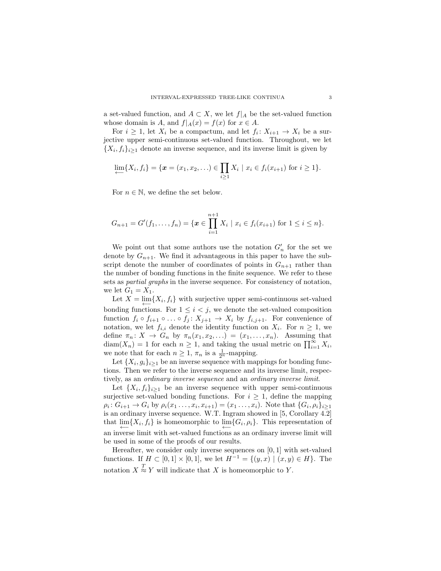a set-valued function, and  $A \subset X$ , we let  $f|_A$  be the set-valued function whose domain is A, and  $f|_A(x) = f(x)$  for  $x \in A$ .

For  $i \geq 1$ , let  $X_i$  be a compactum, and let  $f_i: X_{i+1} \to X_i$  be a surjective upper semi-continuous set-valued function. Throughout, we let  $\{X_i, f_i\}_{i\geq 1}$  denote an inverse sequence, and its inverse limit is given by

$$
\lim_{i \to \infty} \{X_i, f_i\} = \{ \pmb{x} = (x_1, x_2, \ldots) \in \prod_{i \geq 1} X_i \mid x_i \in f_i(x_{i+1}) \text{ for } i \geq 1 \}.
$$

For  $n \in \mathbb{N}$ , we define the set below.

$$
G_{n+1} = G'(f_1, \ldots, f_n) = \{ \boldsymbol{x} \in \prod_{i=1}^{n+1} X_i \mid x_i \in f_i(x_{i+1}) \text{ for } 1 \leq i \leq n \}.
$$

We point out that some authors use the notation  $G'_n$  for the set we denote by  $G_{n+1}$ . We find it advantageous in this paper to have the subscript denote the number of coordinates of points in  $G_{n+1}$  rather than the number of bonding functions in the finite sequence. We refer to these sets as partial graphs in the inverse sequence. For consistency of notation, we let  $G_1 = X_1$ .

Let  $X = \varprojlim\{X_i, f_i\}$  with surjective upper semi-continuous set-valued bonding functions. For  $1 \leq i \leq j$ , we denote the set-valued composition function  $f_i \circ f_{i+1} \circ \ldots \circ f_j : X_{j+1} \to X_i$  by  $f_{i,j+1}$ . For convenience of notation, we let  $f_{i,i}$  denote the identity function on  $X_i$ . For  $n \geq 1$ , we define  $\pi_n: X \to G_n$  by  $\pi_n(x_1, x_2, \ldots) = (x_1, \ldots, x_n)$ . Assuming that  $\text{diam}(X_n) = 1$  for each  $n \geq 1$ , and taking the usual metric on  $\prod_{i=1}^{\infty} X_i$ , we note that for each  $n \geq 1$ ,  $\pi_n$  is a  $\frac{1}{2^n}$ -mapping.

Let  $\{X_i, g_i\}_{i\geq 1}$  be an inverse sequence with mappings for bonding functions. Then we refer to the inverse sequence and its inverse limit, respectively, as an ordinary inverse sequence and an ordinary inverse limit.

Let  $\{X_i, f_i\}_{i\geq 1}$  be an inverse sequence with upper semi-continuous surjective set-valued bonding functions. For  $i \geq 1$ , define the mapping  $\rho_i: G_{i+1} \to G_i$  by  $\rho_i(x_1 \ldots, x_i, x_{i+1}) = (x_1 \ldots, x_i)$ . Note that  $\{G_i, \rho_i\}_{i \geq 1}$ is an ordinary inverse sequence. W.T. Ingram showed in [5, Corollary 4.2] that  $\lim_{i \to \infty} \{X_i, f_i\}$  is homeomorphic to  $\lim_{i \to \infty} \{G_i, \rho_i\}$ . This representation of an inverse limit with set-valued functions as an ordinary inverse limit will be used in some of the proofs of our results.

Hereafter, we consider only inverse sequences on  $[0, 1]$  with set-valued functions. If  $H \subset [0,1] \times [0,1]$ , we let  $H^{-1} = \{(y,x) \mid (x,y) \in H\}$ . The notation  $X \stackrel{T}{\approx} Y$  will indicate that X is homeomorphic to Y.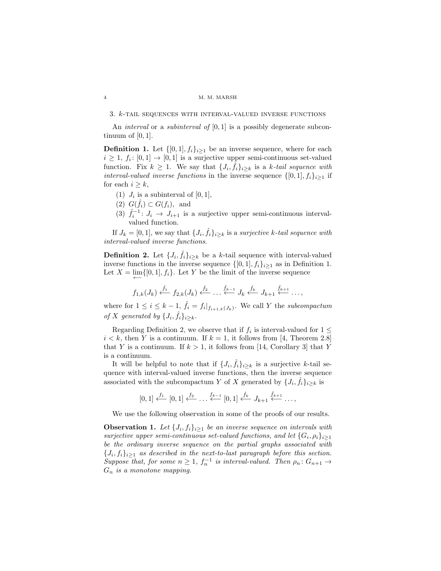3. k-tail sequences with interval-valued inverse functions

An *interval* or a *subinterval of*  $[0, 1]$  is a possibly degenerate subcontinuum of  $[0, 1]$ .

**Definition 1.** Let  $\{[0,1], f_i\}_{i\geq 1}$  be an inverse sequence, where for each  $i \geq 1, f_i: [0,1] \to [0,1]$  is a surjective upper semi-continuous set-valued function. Fix  $k \geq 1$ . We say that  $\{J_i, \hat{f}_i\}_{i \geq k}$  is a k-tail sequence with *interval-valued inverse functions* in the inverse sequence  $\{[0,1], f_i\}_{i\geq 1}$  if for each  $i \geq k$ ,

- (1)  $J_i$  is a subinterval of  $[0, 1]$ ,
- (2)  $G(\hat{f}_i) \subset G(f_i)$ , and
- (3)  $\hat{f}_i^{-1}$ :  $J_i \rightarrow J_{i+1}$  is a surjective upper semi-continuous intervalvalued function.

If  $J_k = [0, 1]$ , we say that  $\{J_i, \hat{f}_i\}_{i \geq k}$  is a surjective k-tail sequence with interval-valued inverse functions.

**Definition 2.** Let  $\{J_i, \hat{f}_i\}_{i \geq k}$  be a k-tail sequence with interval-valued inverse functions in the inverse sequence  $\{[0, 1], f_i\}_{i\geq 1}$  as in Definition 1. Let  $X = \lim_{x \to 0} \{ [0, 1], f_i \}.$  Let Y be the limit of the inverse sequence

$$
f_{1,k}(J_k) \xleftarrow{\hat{f}_1} f_{2,k}(J_k) \xleftarrow{\hat{f}_2} \dots \xleftarrow{\hat{f}_{k-1}} J_k \xleftarrow{\hat{f}_k} J_{k+1} \xleftarrow{\hat{f}_{k+1}} \dots,
$$

where for  $1 \leq i \leq k-1$ ,  $\hat{f}_i = f_i|_{f_{i+1,k}(J_k)}$ . We call Y the subcompactum of X generated by  $\{J_i, \hat{f}_i\}_{i \geq k}$ .

Regarding Definition 2, we observe that if  $f_i$  is interval-valued for  $1 \leq$  $i < k$ , then Y is a continuum. If  $k = 1$ , it follows from [4, Theorem 2.8] that Y is a continuum. If  $k > 1$ , it follows from [14, Corollary 3] that Y is a continuum.

It will be helpful to note that if  $\{J_i, \hat{f}_i\}_{i \geq k}$  is a surjective k-tail sequence with interval-valued inverse functions, then the inverse sequence associated with the subcompactum Y of X generated by  $\{J_i, \hat{f}_i\}_{i \geq k}$  is

$$
[0,1] \stackrel{f_1}{\longleftarrow} [0,1] \stackrel{f_2}{\longleftarrow} \dots \stackrel{f_{k-1}}{\longleftarrow} [0,1] \stackrel{f_k}{\longleftarrow} J_{k+1} \stackrel{\hat{f}_{k+1}}{\longleftarrow} \dots,
$$

We use the following observation in some of the proofs of our results.

**Observation 1.** Let  $\{J_i, f_i\}_{i\geq 1}$  be an inverse sequence on intervals with surjective upper semi-continuous set-valued functions, and let  $\{G_i, \rho_i\}_{i\geq 1}$ be the ordinary inverse sequence on the partial graphs associated with  ${J_i, f_i}_{i\geq 1}$  as described in the next-to-last paragraph before this section. Suppose that, for some  $n \geq 1$ ,  $f_n^{-1}$  is interval-valued. Then  $\rho_n: G_{n+1} \to$  $G_n$  is a monotone mapping.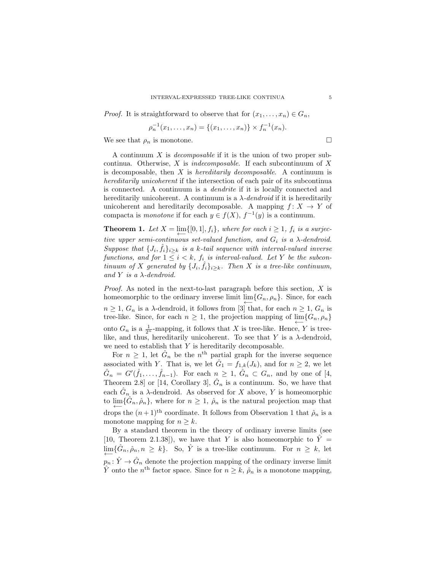*Proof.* It is straightforward to observe that for  $(x_1, \ldots, x_n) \in G_n$ ,

$$
\rho_n^{-1}(x_1,\ldots,x_n) = \{(x_1,\ldots,x_n)\} \times f_n^{-1}(x_n).
$$

We see that  $\rho_n$  is monotone.

A continuum  $X$  is *decomposable* if it is the union of two proper subcontinua. Otherwise, X is indecomposable. If each subcontinuum of X is decomposable, then  $X$  is *hereditarily decomposable*. A continuum is hereditarily unicoherent if the intersection of each pair of its subcontinua is connected. A continuum is a dendrite if it is locally connected and hereditarily unicoherent. A continuum is a  $\lambda$ -dendroid if it is hereditarily unicoherent and hereditarily decomposable. A mapping  $f: X \to Y$  of compacta is *monotone* if for each  $y \in f(X)$ ,  $f^{-1}(y)$  is a continuum.

**Theorem 1.** Let  $X = \lim_{n \to \infty} \{ [0, 1], f_i \}$ , where for each  $i \geq 1$ ,  $f_i$  is a surjective upper semi-continuous set-valued function, and  $G_i$  is a  $\lambda$ -dendroid. Suppose that  $\{J_i, \hat{f}_i\}_{i \geq k}$  is a k-tail sequence with interval-valued inverse functions, and for  $1 \leq i \leq k$ ,  $f_i$  is interval-valued. Let Y be the subcontinuum of X generated by  $\{J_i, \hat{f}_i\}_{i \geq k}$ . Then X is a tree-like continuum, and Y is a  $\lambda$ -dendroid.

*Proof.* As noted in the next-to-last paragraph before this section,  $X$  is homeomorphic to the ordinary inverse limit  $\varprojlim\{G_n, \rho_n\}$ . Since, for each  $n \geq 1, G_n$  is a  $\lambda$ -dendroid, it follows from [3] that, for each  $n \geq 1, G_n$  is tree-like. Since, for each  $n \geq 1$ , the projection mapping of  $\varprojlim\{G_n, \rho_n\}$ onto  $G_n$  is a  $\frac{1}{2^n}$ -mapping, it follows that X is tree-like. Hence, Y is treelike, and thus, hereditarily unicoherent. To see that Y is a  $\lambda$ -dendroid, we need to establish that  $Y$  is hereditarily decomposable.

For  $n \geq 1$ , let  $\hat{G}_n$  be the  $n^{\text{th}}$  partial graph for the inverse sequence associated with Y. That is, we let  $\hat{G}_1 = f_{1,k}(J_k)$ , and for  $n \geq 2$ , we let  $\hat{G}_n = G'(\hat{f}_1,\ldots,\hat{f}_{n-1})$ . For each  $n \geq 1$ ,  $\hat{G}_n \subset G_n$ , and by one of [4, Theorem 2.8] or [14, Corollary 3],  $\hat{G}_n$  is a continuum. So, we have that each  $\hat{G}_n$  is a  $\lambda$ -dendroid. As observed for X above, Y is homeomorphic to  $\lim_{n \to \infty} {\hat{G}_n, \hat{\rho}_n}$ , where for  $n \geq 1$ ,  $\hat{\rho}_n$  is the natural projection map that drops the  $(n+1)$ <sup>th</sup> coordinate. It follows from Observation 1 that  $\hat{\rho}_n$  is a monotone mapping for  $n > k$ .

By a standard theorem in the theory of ordinary inverse limits (see [10, Theorem 2.1.38]), we have that Y is also homeomorphic to  $\hat{Y} =$  $\lim_{\longleftarrow} {\{\hat{G}_n, \hat{\rho}_n, n \geq k\}}$ . So,  $\hat{Y}$  is a tree-like continuum. For  $n \geq k$ , let  $p_n: \hat{Y} \to \hat{G}_n$  denote the projection mapping of the ordinary inverse limit  $\hat{Y}$  onto the  $n<sup>th</sup>$  factor space. Since for  $n \geq k$ ,  $\hat{\rho}_n$  is a monotone mapping,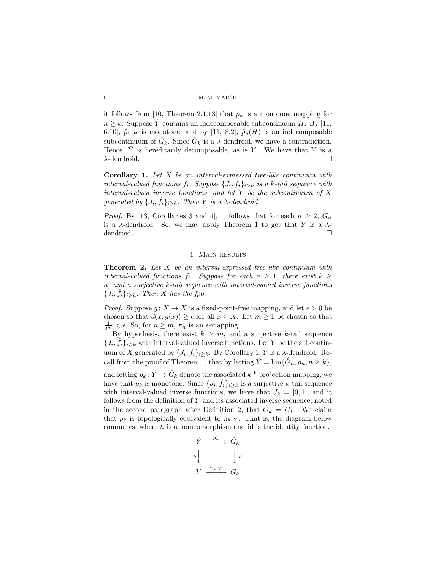it follows from [10, Theorem 2.1.13] that  $p_n$  is a monotone mapping for  $n \geq k$ . Suppose  $\hat{Y}$  contains an indecomposable subcontinuum H. By [11, 6.10],  $\hat{p}_k|_H$  is monotone; and by [11, 8.2],  $\hat{p}_k(H)$  is an indecomposable subcontinuum of  $\hat{G}_k$ . Since  $\hat{G}_k$  is a  $\lambda$ -dendroid, we have a contradiction. Hence,  $\hat{Y}$  is hereditarily decomposable, as is Y. We have that Y is a  $\lambda$ -dendroid.

**Corollary 1.** Let  $X$  be an interval-expressed tree-like continuum with interval-valued functions  $f_i$ . Suppose  $\{J_i, \hat{f}_i\}_{i\geq k}$  is a k-tail sequence with interval-valued inverse functions, and let  $Y$  be the subcontinuum of  $X$ generated by  $\{J_i, \hat{f}_i\}_{i \geq k}$ . Then Y is a  $\lambda$ -dendroid.

*Proof.* By [13, Corollaries 3 and 4], it follows that for each  $n \geq 2$ ,  $G_n$ is a  $\lambda$ -dendroid. So, we may apply Theorem 1 to get that Y is a  $\lambda$ dendroid.  $\Box$ 

### 4. Main results

**Theorem 2.** Let X be an interval-expressed tree-like continuum with interval-valued functions  $f_i$ . Suppose for each  $n \geq 1$ , there exist  $k \geq$ n, and a surjective k-tail sequence with interval-valued inverse functions  ${J_i, \hat{f_i}}_{i \geq k}$ . Then X has the fpp.

*Proof.* Suppose  $g: X \to X$  is a fixed-point-free mapping, and let  $\epsilon > 0$  be chosen so that  $d(x, g(x)) \geq \epsilon$  for all  $x \in X$ . Let  $m \geq 1$  be chosen so that  $\frac{1}{2^m} < \epsilon$ . So, for  $n \geq m$ ,  $\pi_n$  is an  $\epsilon$ -mapping.

By hypothesis, there exist  $k \geq m$ , and a surjective k-tail sequence  ${J_i, \hat{f}_i}_{i\geq k}$  with interval-valued inverse functions. Let Y be the subcontinuum of X generated by  $\{J_i, \hat{f}_i\}_{i \geq k}$ . By Corollary 1, Y is a  $\lambda$ -dendroid. Recall from the proof of Theorem 1, that by letting  $\hat{Y} = \lim_{\longleftarrow} {\hat{G}_n, \hat{\rho}_n, n \geq k},$ and letting  $p_k \colon \hat{Y} \to \hat{G}_k$  denote the associated  $k^{\text{th}}$  projection mapping, we have that  $p_k$  is monotone. Since  $\{J_i, \hat{f}_i\}_{i \geq k}$  is a surjective k-tail sequence with interval-valued inverse functions, we have that  $J_k = [0, 1]$ , and it follows from the definition of Y and its associated inverse sequence, noted in the second paragraph after Definition 2, that  $\hat{G}_k = G_k$ . We claim that  $p_k$  is topologically equivalent to  $\pi_k|_Y$ . That is, the diagram below commutes, where  $h$  is a homeomorphism and id is the identity function.

$$
\begin{array}{ccc}\n\hat{Y} & \xrightarrow{\quad p_k} & \hat{G}_k \\
h & & \downarrow \text{id} \\
Y & \xrightarrow{\pi_k|_Y} & G_k\n\end{array}
$$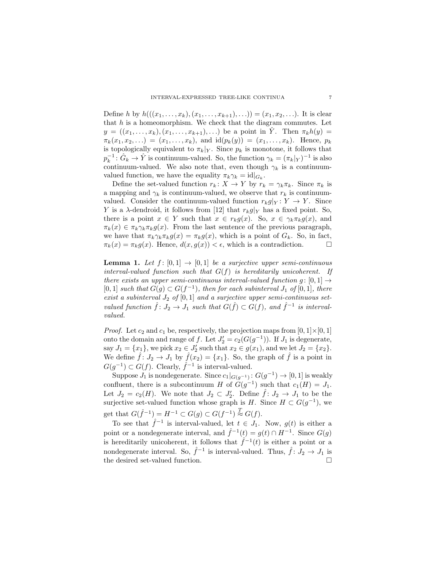Define h by  $h(((x_1, \ldots, x_k), (x_1, \ldots, x_{k+1}), \ldots)) = (x_1, x_2, \ldots)$ . It is clear that  $h$  is a homeomorphism. We check that the diagram commutes. Let  $y = ((x_1, \ldots, x_k), (x_1, \ldots, x_{k+1}), \ldots)$  be a point in Y. Then  $\pi_k h(y) =$  $\pi_k(x_1, x_2, \ldots) = (x_1, \ldots, x_k),$  and  $id(p_k(y)) = (x_1, \ldots, x_k).$  Hence,  $p_k$ is topologically equivalent to  $\pi_k|_Y$ . Since  $p_k$  is monotone, it follows that  $p_k^{-1}$ :  $\hat{G}_k \to \hat{Y}$  is continuum-valued. So, the function  $\gamma_k = (\pi_k|_Y)^{-1}$  is also continuum-valued. We also note that, even though  $\gamma_k$  is a continuumvalued function, we have the equality  $\pi_k \gamma_k = id|_{G_k}$ .

Define the set-valued function  $r_k: X \to Y$  by  $r_k = \gamma_k \pi_k$ . Since  $\pi_k$  is a mapping and  $\gamma_k$  is continuum-valued, we observe that  $r_k$  is continuumvalued. Consider the continuum-valued function  $r_k g|_Y : Y \to Y$ . Since Y is a  $\lambda$ -dendroid, it follows from [12] that  $r_k g|_Y$  has a fixed point. So, there is a point  $x \in Y$  such that  $x \in r_k g(x)$ . So,  $x \in \gamma_k \pi_k g(x)$ , and  $\pi_k(x) \in \pi_k \gamma_k \pi_k g(x)$ . From the last sentence of the previous paragraph, we have that  $\pi_k \gamma_k \pi_k g(x) = \pi_k g(x)$ , which is a point of  $G_k$ . So, in fact,  $\pi_k(x) = \pi_k g(x)$ . Hence,  $d(x, g(x)) < \epsilon$ , which is a contradiction.

**Lemma 1.** Let  $f: [0,1] \rightarrow [0,1]$  be a surjective upper semi-continuous interval-valued function such that  $G(f)$  is hereditarily unicoherent. If there exists an upper semi-continuous interval-valued function  $g: [0,1] \rightarrow$ [0, 1] such that  $G(g) \subset G(f^{-1})$ , then for each subinterval  $J_1$  of [0, 1], there exist a subinterval  $J_2$  of  $[0,1]$  and a surjective upper semi-continuous setvalued function  $\hat{f} \colon J_2 \to J_1$  such that  $G(\hat{f}) \subset G(f)$ , and  $\hat{f}^{-1}$  is intervalvalued.

*Proof.* Let  $c_2$  and  $c_1$  be, respectively, the projection maps from  $[0, 1] \times [0, 1]$ onto the domain and range of f. Let  $J_2' = c_2(G(g^{-1}))$ . If  $J_1$  is degenerate, say  $J_1 = \{x_1\}$ , we pick  $x_2 \in J'_2$  such that  $x_2 \in g(x_1)$ , and we let  $J_2 = \{x_2\}$ . We define  $\hat{f} : J_2 \to J_1$  by  $\hat{f}(x_2) = \{x_1\}$ . So, the graph of  $\hat{f}$  is a point in  $G(g^{-1}) \subset G(f)$ . Clearly,  $\hat{f}^{-1}$  is interval-valued.

Suppose  $J_1$  is nondegenerate. Since  $c_1|_{G(g^{-1})}$ :  $G(g^{-1}) \to [0,1]$  is weakly confluent, there is a subcontinuum H of  $G(g^{-1})$  such that  $c_1(H) = J_1$ . Let  $J_2 = c_2(H)$ . We note that  $J_2 \subset J_2'$ . Define  $\hat{f} \colon J_2 \to J_1$  to be the surjective set-valued function whose graph is  $H$ . Since  $H \subset G(g^{-1})$ , we get that  $G(\hat{f}^{-1}) = H^{-1} \subset G(g) \subset G(f^{-1}) \stackrel{T}{\approx} G(f)$ .

To see that  $\hat{f}^{-1}$  is interval-valued, let  $t \in J_1$ . Now,  $g(t)$  is either a point or a nondegenerate interval, and  $\hat{f}^{-1}(t) = g(t) \cap H^{-1}$ . Since  $G(g)$ is hereditarily unicoherent, it follows that  $\hat{f}^{-1}(t)$  is either a point or a nondegenerate interval. So,  $\hat{f}^{-1}$  is interval-valued. Thus,  $\hat{f} : J_2 \to J_1$  is the desired set-valued function.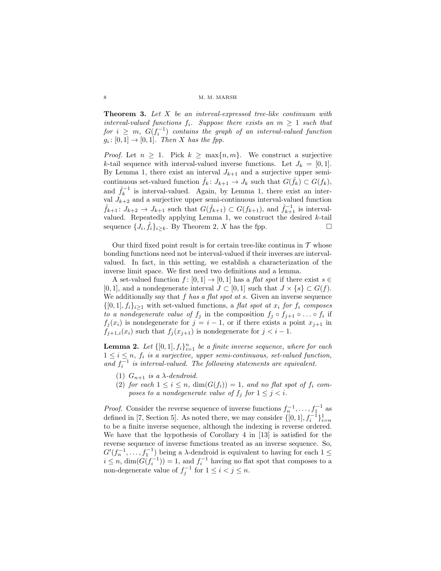Theorem 3. Let X be an interval-expressed tree-like continuum with interval-valued functions  $f_i$ . Suppose there exists an  $m \geq 1$  such that  $for \; i \; \geq \; m, \; G(f_i^{-1}) \; \; contains \; \; the \; \; graph \; \; of \; \; an \; \; interval-valued \; \; function$  $g_i \colon [0,1] \to [0,1]$ . Then X has the fpp.

*Proof.* Let  $n \geq 1$ . Pick  $k \geq \max\{n, m\}$ . We construct a surjective k-tail sequence with interval-valued inverse functions. Let  $J_k = [0, 1]$ . By Lemma 1, there exist an interval  $J_{k+1}$  and a surjective upper semicontinuous set-valued function  $\hat{f}_k: J_{k+1} \to J_k$  such that  $G(\hat{f}_k) \subset G(f_k)$ , and  $\hat{f}_k^{-1}$  is interval-valued. Again, by Lemma 1, there exist an interval  $J_{k+2}$  and a surjective upper semi-continuous interval-valued function  $\hat{f}_{k+1}: J_{k+2} \to J_{k+1}$  such that  $G(\hat{f}_{k+1}) \subset G(f_{k+1}),$  and  $\hat{f}_{k+1}^{-1}$  is intervalvalued. Repeatedly applying Lemma 1, we construct the desired  $k$ -tail sequence  $\{J_i, \hat{f}_i\}_{i \geq k}$ . By Theorem 2, X has the fpp.

Our third fixed point result is for certain tree-like continua in  $\mathcal T$  whose bonding functions need not be interval-valued if their inverses are intervalvalued. In fact, in this setting, we establish a characterization of the inverse limit space. We first need two definitions and a lemma.

A set-valued function  $f : [0,1] \rightarrow [0,1]$  has a flat spot if there exist  $s \in$ [0, 1], and a nondegenerate interval  $J \subset [0, 1]$  such that  $J \times \{s\} \subset G(f)$ . We additionally say that  $f$  has a flat spot at s. Given an inverse sequence  $\{[0,1], f_i\}_{i\geq 1}$  with set-valued functions, a flat spot at  $x_i$  for  $f_i$  composes to a nondegenerate value of  $f_j$  in the composition  $f_j \circ f_{j+1} \circ \ldots \circ f_i$  if  $f_j(x_i)$  is nondegenerate for  $j = i - 1$ , or if there exists a point  $x_{j+1}$  in  $f_{j+1,i}(x_i)$  such that  $f_j(x_{j+1})$  is nondegenerate for  $j < i-1$ .

**Lemma 2.** Let  $\{[0,1], f_i\}_{i=1}^n$  be a finite inverse sequence, where for each  $1 \leq i \leq n$ ,  $f_i$  is a surjective, upper semi-continuous, set-valued function, and  $f_i^{-1}$  is interval-valued. The following statements are equivalent.

- (1)  $G_{n+1}$  is a  $\lambda$ -dendroid.
- (2) for each  $1 \leq i \leq n$ ,  $\dim(G(f_i)) = 1$ , and no flat spot of  $f_i$  composes to a nondegenerate value of  $f_i$  for  $1 \leq j \leq i$ .

*Proof.* Consider the reverse sequence of inverse functions  $f_n^{-1}, \ldots, f_1^{-1}$  as defined in [7, Section 5]. As noted there, we may consider  $\{[0,1], f_i^{-1}\}_{i=n}^1$ to be a finite inverse sequence, although the indexing is reverse ordered. We have that the hypothesis of Corollary 4 in [13] is satisfied for the reverse sequence of inverse functions treated as an inverse sequence. So,  $G'(f_n^{-1}, \ldots, f_1^{-1})$  being a  $\lambda$ -dendroid is equivalent to having for each  $1 \leq$  $i \leq n$ ,  $\dim(G(f_i^{-1})) = 1$ , and  $f_i^{-1}$  having no flat spot that composes to a non-degenerate value of  $f_j^{-1}$  for  $1 \leq i < j \leq n$ .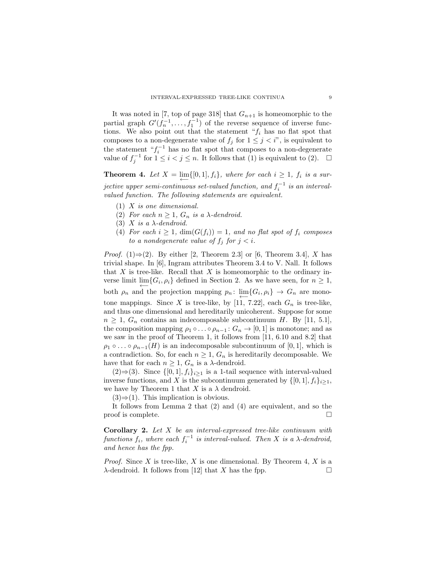It was noted in [7, top of page 318] that  $G_{n+1}$  is homeomorphic to the partial graph  $G'(f_n^{-1}, \ldots, f_1^{-1})$  of the reverse sequence of inverse functions. We also point out that the statement " $f_i$  has no flat spot that composes to a non-degenerate value of  $f_j$  for  $1 \leq j \leq i$ ", is equivalent to the statement  $\int f_i^{-1}$  has no flat spot that composes to a non-degenerate value of  $f_j^{-1}$  for  $1 \leq i < j \leq n$ . It follows that (1) is equivalent to (2).  $\Box$ 

**Theorem 4.** Let  $X = \lim_{n \to \infty} \{ [0, 1], f_i \}$ , where for each  $i \geq 1$ ,  $f_i$  is a sur- $\emph{jective upper semi-continuous set-valued function, and $f_i^{-1}$ is an interval-1}$ valued function. The following statements are equivalent.

- $(1)$  X is one dimensional.
- (2) For each  $n \geq 1$ ,  $G_n$  is a  $\lambda$ -dendroid.
- (3) X is a  $\lambda$ -dendroid.
- (4) For each  $i \geq 1$ ,  $\dim(G(f_i)) = 1$ , and no flat spot of  $f_i$  composes to a nondegenerate value of  $f_i$  for  $j < i$ .

*Proof.* (1) $\Rightarrow$ (2). By either [2, Theorem 2.3] or [6, Theorem 3.4], X has trivial shape. In [6], Ingram attributes Theorem 3.4 to V. Nall. It follows that X is tree-like. Recall that X is homeomorphic to the ordinary inverse limit  $\varprojlim \{ G_i, \rho_i \}$  defined in Section 2. As we have seen, for  $n \geq 1$ , both  $\rho_n$  and the projection mapping  $p_n: \lim_{\longleftarrow} \{G_i, \rho_i\} \to G_n$  are monotone mappings. Since X is tree-like, by [11, 7.22], each  $G_n$  is tree-like, and thus one dimensional and hereditarily unicoherent. Suppose for some  $n \geq 1$ ,  $G_n$  contains an indecomposable subcontinuum H. By [11, 5.1], the composition mapping  $\rho_1 \circ \ldots \circ \rho_{n-1} : G_n \to [0,1]$  is monotone; and as we saw in the proof of Theorem 1, it follows from [11, 6.10 and 8.2] that  $\rho_1 \circ \ldots \circ \rho_{n-1}(H)$  is an indecomposable subcontinuum of [0, 1], which is a contradiction. So, for each  $n \geq 1$ ,  $G_n$  is hereditarily decomposable. We have that for each  $n \geq 1$ ,  $G_n$  is a  $\lambda$ -dendroid.

 $(2)$ ⇒ $(3)$ . Since  $\{[0,1], f_i\}_{i\geq 1}$  is a 1-tail sequence with interval-valued inverse functions, and X is the subcontinuum generated by  $\{[0, 1], f_i\}_{i>1}$ , we have by Theorem 1 that X is a  $\lambda$  dendroid.

 $(3) \Rightarrow (1)$ . This implication is obvious.

It follows from Lemma 2 that (2) and (4) are equivalent, and so the proof is complete.  $\Box$ 

**Corollary 2.** Let  $X$  be an interval-expressed tree-like continuum with functions  $f_i$ , where each  $f_i^{-1}$  is interval-valued. Then X is a  $\lambda$ -dendroid, and hence has the fpp.

*Proof.* Since X is tree-like, X is one dimensional. By Theorem 4, X is a  $\lambda$ -dendroid. It follows from [12] that X has the fpp.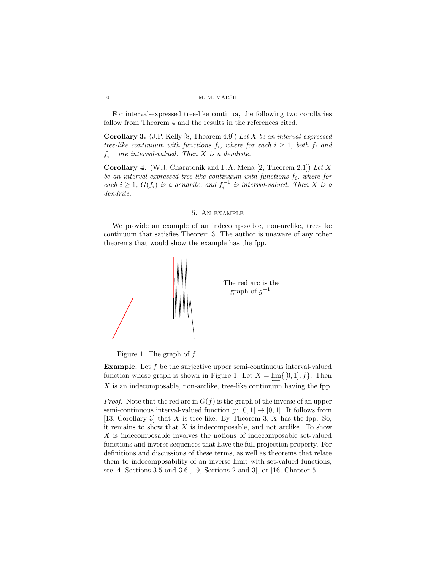For interval-expressed tree-like continua, the following two corollaries follow from Theorem 4 and the results in the references cited.

**Corollary 3.** (J.P. Kelly [8, Theorem 4.9]) Let  $X$  be an interval-expressed tree-like continuum with functions  $f_i$ , where for each  $i \geq 1$ , both  $f_i$  and  $f_i^{-1}$  are interval-valued. Then X is a dendrite.

**Corollary 4.** (W.J. Charatonik and F.A. Mena [2, Theorem 2.1]) Let X be an interval-expressed tree-like continuum with functions  $f_i$ , where for each  $i \geq 1$ ,  $G(f_i)$  is a dendrite, and  $f_i^{-1}$  is interval-valued. Then X is a dendrite.

# 5. An example

We provide an example of an indecomposable, non-arclike, tree-like continuum that satisfies Theorem 3. The author is unaware of any other theorems that would show the example has the fpp.





Figure 1. The graph of  $f$ .

Example. Let f be the surjective upper semi-continuous interval-valued function whose graph is shown in Figure 1. Let  $X = \lim_{\longleftarrow} \{ [0, 1], f \}$ . Then  $X$  is an indecomposable, non-arclike, tree-like continuum having the fpp.

*Proof.* Note that the red arc in  $G(f)$  is the graph of the inverse of an upper semi-continuous interval-valued function  $g: [0, 1] \rightarrow [0, 1]$ . It follows from [13, Corollary 3] that X is tree-like. By Theorem 3, X has the fpp. So, it remains to show that  $X$  is indecomposable, and not arclike. To show  $X$  is indecomposable involves the notions of indecomposable set-valued functions and inverse sequences that have the full projection property. For definitions and discussions of these terms, as well as theorems that relate them to indecomposability of an inverse limit with set-valued functions, see [4, Sections 3.5 and 3.6], [9, Sections 2 and 3], or [16, Chapter 5].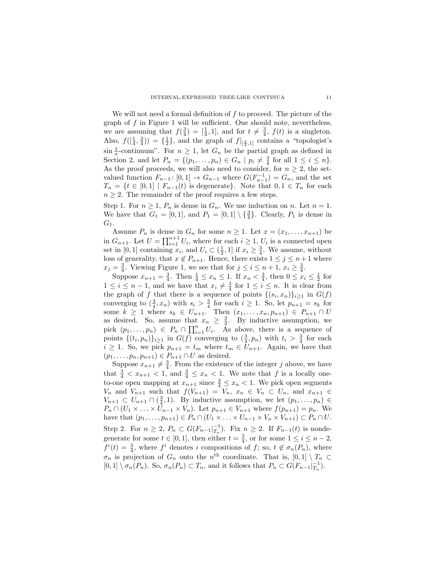We will not need a formal definition of  $f$  to proceed. The picture of the graph of  $f$  in Figure 1 will be sufficient. One should note, nevertheless, we are assuming that  $f(\frac{3}{4}) = [\frac{1}{4}, 1]$ , and for  $t \neq \frac{3}{4}$ ,  $f(t)$  is a singleton. Also,  $f([\frac{1}{4}, \frac{3}{4})) = {\frac{1}{2}}$ , and the graph of  $f|_{[\frac{3}{4},1]}$  contains a "topologist's  $\sin \frac{1}{x}$ -continuum". For  $n \geq 1$ , let  $G_n$  be the partial graph as defined in Section 2, and let  $P_n = \{(p_1, \ldots, p_n) \in G_n \mid p_i \neq \frac{3}{4} \text{ for all } 1 \leq i \leq n\}.$ As the proof proceeds, we will also need to consider, for  $n \geq 2$ , the setvalued function  $F_{n-1}$ :  $[0,1] \rightarrow G_{n-1}$  where  $G(F_{n-1}^{-1}) = G_n$ , and the set  $T_n = \{t \in [0,1] \mid F_{n-1}(t) \text{ is degenerate}\}.$  Note that  $0, 1 \in T_n$  for each  $n \geq 2$ . The remainder of the proof requires a few steps.

Step 1. For  $n \geq 1$ ,  $P_n$  is dense in  $G_n$ . We use induction on n. Let  $n = 1$ . We have that  $G_1 = [0,1]$ , and  $P_1 = [0,1] \setminus \{\frac{3}{4}\}\.$  Clearly,  $P_1$  is dense in  $G_1$ .

Assume  $P_n$  is dense in  $G_n$  for some  $n \geq 1$ . Let  $x = (x_1, \ldots, x_{n+1})$  be in  $G_{n+1}$ . Let  $U = \prod_{i=1}^{n+1} U_i$ , where for each  $i \geq 1$ ,  $U_i$  is a connected open set in [0, 1] containing  $x_i$ , and  $U_i \subset (\frac{1}{2}, 1]$  if  $x_i \geq \frac{3}{4}$ . We assume, without loss of generality, that  $x \notin P_{n+1}$ . Hence, there exists  $1 \leq j \leq n+1$  where  $x_j = \frac{3}{4}$ . Viewing Figure 1, we see that for  $j \leq i \leq n+1$ ,  $x_i \geq \frac{3}{4}$ .

Suppose  $x_{n+1} = \frac{3}{4}$ . Then  $\frac{1}{4} \le x_n \le 1$ . If  $x_n < \frac{3}{4}$ , then  $0 \le x_i \le \frac{1}{2}$  for  $1 \leq i \leq n-1$ , and we have that  $x_i \neq \frac{3}{4}$  for  $1 \leq i \leq n$ . It is clear from the graph of f that there is a sequence of points  $\{(s_i, x_n)\}_{i\geq 1}$  in  $G(f)$ converging to  $(\frac{3}{4}, x_n)$  with  $s_i > \frac{3}{4}$  for each  $i \ge 1$ . So, let  $p_{n+1} = s_k$  for some  $k \ge 1$  where  $s_k \in U_{n+1}$ . Then  $(x_1, ..., x_n, p_{n+1}) \in P_{n+1} \cap U$ as desired. So, assume that  $x_n \geq \frac{3}{4}$ . By inductive assumption, we pick  $(p_1, \ldots, p_n) \in P_n \cap \prod_{i=1}^n U_i$ . As above, there is a sequence of points  $\{(t_i, p_n)\}_{i\geq 1}$  in  $G(f)$  converging to  $(\frac{3}{4}, p_n)$  with  $t_i > \frac{3}{4}$  for each  $i \geq 1$ . So, we pick  $p_{n+1} = t_m$  where  $t_m \in U_{n+1}$ . Again, we have that  $(p_1, \ldots, p_n, p_{n+1}) \in P_{n+1} \cap U$  as desired.

Suppose  $x_{n+1} \neq \frac{3}{4}$ . From the existence of the integer j above, we have that  $\frac{3}{4} < x_{n+1} < 1$ , and  $\frac{3}{4} \le x_n < 1$ . We note that f is a locally oneto-one open mapping at  $x_{n+1}$  since  $\frac{3}{4} \le x_n < 1$ . We pick open segments  $V_n$  and  $V_{n+1}$  such that  $f(V_{n+1}) = V_n$ ,  $x_n \in V_n \subset U_n$ , and  $x_{n+1} \in$  $V_{n+1} \subset U_{n+1} \cap (\frac{3}{4}, 1)$ . By inductive assumption, we let  $(p_1, \ldots, p_n) \in$  $P_n \cap (U_1 \times \ldots \times U_{n-1} \times V_n)$ . Let  $p_{n+1} \in V_{n+1}$  where  $f(p_{n+1}) = p_n$ . We have that  $(p_1, \ldots, p_{n+1}) \in P_n \cap (U_1 \times \ldots \times U_{n-1} \times V_n \times V_{n+1}) \subset P_n \cap U$ . Step 2. For  $n \geq 2$ ,  $P_n \subset G(F_{n-1}|_{T_n}^{-1})$ . Fix  $n \geq 2$ . If  $F_{n-1}(t)$  is nondegenerate for some  $t \in [0, 1]$ , then either  $t = \frac{3}{4}$ , or for some  $1 \le i \le n - 2$ ,  $f^{i}(t) = \frac{3}{4}$ , where  $f^{i}$  denotes i compositions of f; so,  $t \notin \sigma_{n}(P_{n})$ , where  $\sigma_n$  is projection of  $G_n$  onto the  $n^{\text{th}}$  coordinate. That is,  $[0,1] \setminus T_n \subset$  $[0,1] \setminus \sigma_n(P_n)$ . So,  $\sigma_n(P_n) \subset T_n$ , and it follows that  $P_n \subset G(F_{n-1}|_{T_n}^{-1})$ .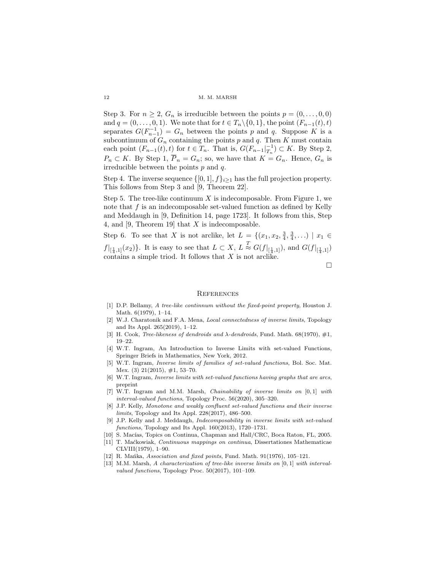Step 3. For  $n \geq 2$ ,  $G_n$  is irreducible between the points  $p = (0, \ldots, 0, 0)$ and  $q = (0, \ldots, 0, 1)$ . We note that for  $t \in T_n \setminus \{0, 1\}$ , the point  $(F_{n-1}(t), t)$ separates  $G(F_{n-1}^{-1}) = G_n$  between the points p and q. Suppose K is a subcontinuum of  $G_n$  containing the points p and q. Then K must contain each point  $(F_{n-1}(t), t)$  for  $t \in T_n$ . That is,  $G(F_{n-1}|_{T_n}^{-1}) \subset K$ . By Step 2,  $P_n \subset K$ . By Step 1,  $\overline{P}_n = G_n$ ; so, we have that  $K = G_n$ . Hence,  $G_n$  is irreducible between the points  $p$  and  $q$ .

Step 4. The inverse sequence  $\{[0, 1], f\}_{i\geq 1}$  has the full projection property. This follows from Step 3 and [9, Theorem 22].

Step 5. The tree-like continuum  $X$  is indecomposable. From Figure 1, we note that  $f$  is an indecomposable set-valued function as defined by Kelly and Meddaugh in [9, Definition 14, page 1723]. It follows from this, Step 4, and [9, Theorem 19] that X is indecomposable.

Step 6. To see that X is not arclike, let  $L = \{(x_1, x_2, \frac{3}{4}, \frac{3}{4}, \ldots) \mid x_1 \in$  $f|_{[\frac{1}{4},1]}(x_2)$ . It is easy to see that  $L \subset X$ ,  $L \stackrel{T}{\approx} G(f|_{[\frac{1}{4},1]})$ , and  $G(f|_{[\frac{1}{4},1]})$ contains a simple triod. It follows that X is not arclike.

 $\Box$ 

### **REFERENCES**

- [1] D.P. Bellamy, A tree-like continnum without the fixed-point property, Houston J. Math. 6(1979), 1–14.
- [2] W.J. Charatonik and F.A. Mena, Local connectedness of inverse limits, Topology and Its Appl. 265(2019), 1–12.
- [3] H. Cook, *Tree-likeness of dendroids and*  $\lambda$ *-dendroids*, Fund. Math. 68(1970),  $\#1$ , 19–22.
- [4] W.T. Ingram, An Introduction to Inverse Limits with set-valued Functions, Springer Briefs in Mathematics, New York, 2012.
- [5] W.T. Ingram, Inverse limits of families of set-valued functions, Bol. Soc. Mat. Mex. (3) 21(2015), #1, 53–70.
- [6] W.T. Ingram, Inverse limits with set-valued functions having graphs that are arcs, preprint
- [7] W.T. Ingram and M.M. Marsh, Chainability of inverse limits on [0, 1] with interval-valued functions, Topology Proc. 56(2020), 305–320.
- [8] J.P. Kelly, Monotone and weakly confluent set-valued functions and their inverse limits, Topology and Its Appl. 228(2017), 486–500.
- [9] J.P. Kelly and J. Meddaugh, Indecomposability in inverse limits with set-valued functions, Topology and Its Appl. 160(2013), 1720–1731.
- [10] S. Macías, Topics on Continua, Chapman and Hall/CRC, Boca Raton, FL, 2005.
- [11] T. Ma´ckowiak, Continuous mappings on continua, Dissertationes Mathematicae CLVIII(1979), 1–90.
- [12] R. Mańka, Association and fixed points, Fund. Math.  $91(1976)$ ,  $105-121$ .
- [13] M.M. Marsh, A characterization of tree-like inverse limits on [0, 1] with intervalvalued functions, Topology Proc. 50(2017), 101–109.